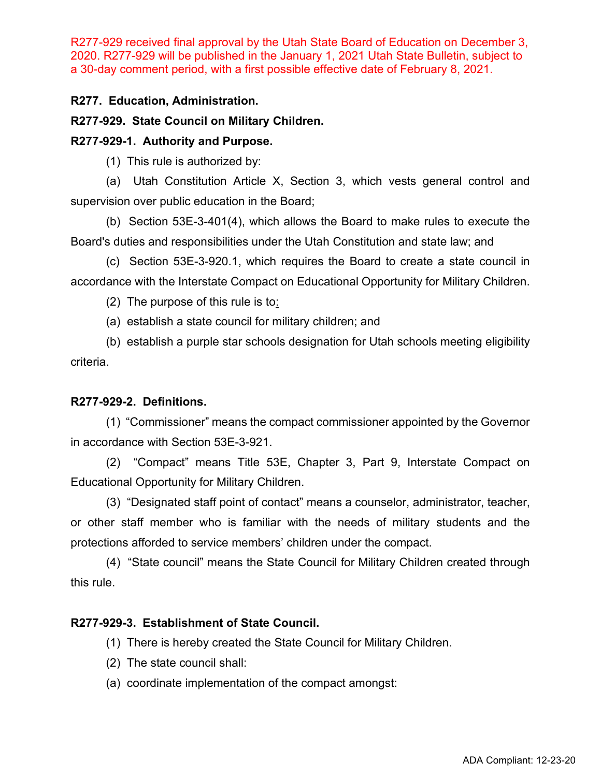R277-929 received final approval by the Utah State Board of Education on December 3, 2020. R277-929 will be published in the January 1, 2021 Utah State Bulletin, subject to a 30-day comment period, with a first possible effective date of February 8, 2021.

# **R277. Education, Administration.**

# **R277-929. State Council on Military Children.**

# **R277-929-1. Authority and Purpose.**

(1) This rule is authorized by:

(a) Utah Constitution Article X, Section 3, which vests general control and supervision over public education in the Board;

(b) Section 53E-3-401(4), which allows the Board to make rules to execute the Board's duties and responsibilities under the Utah Constitution and state law; and

(c) Section 53E-3-920.1, which requires the Board to create a state council in accordance with the Interstate Compact on Educational Opportunity for Military Children.

(2) The purpose of this rule is to:

(a) establish a state council for military children; and

(b) establish a purple star schools designation for Utah schools meeting eligibility criteria.

### **R277-929-2. Definitions.**

(1) "Commissioner" means the compact commissioner appointed by the Governor in accordance with Section 53E-3-921.

(2) "Compact" means Title 53E, Chapter 3, Part 9, Interstate Compact on Educational Opportunity for Military Children.

(3) "Designated staff point of contact" means a counselor, administrator, teacher, or other staff member who is familiar with the needs of military students and the protections afforded to service members' children under the compact.

(4) "State council" means the State Council for Military Children created through this rule.

### **R277-929-3. Establishment of State Council.**

- (1) There is hereby created the State Council for Military Children.
- (2) The state council shall:
- (a) coordinate implementation of the compact amongst: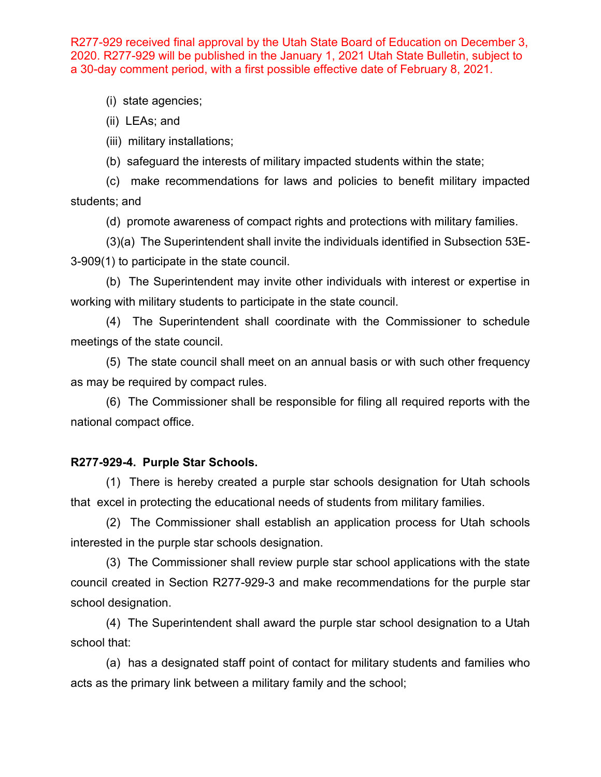R277-929 received final approval by the Utah State Board of Education on December 3, 2020. R277-929 will be published in the January 1, 2021 Utah State Bulletin, subject to a 30-day comment period, with a first possible effective date of February 8, 2021.

(i) state agencies;

(ii) LEAs; and

(iii) military installations;

(b) safeguard the interests of military impacted students within the state;

(c) make recommendations for laws and policies to benefit military impacted students; and

(d) promote awareness of compact rights and protections with military families.

(3)(a) The Superintendent shall invite the individuals identified in Subsection 53E-3-909(1) to participate in the state council.

(b) The Superintendent may invite other individuals with interest or expertise in working with military students to participate in the state council.

(4) The Superintendent shall coordinate with the Commissioner to schedule meetings of the state council.

(5) The state council shall meet on an annual basis or with such other frequency as may be required by compact rules.

(6) The Commissioner shall be responsible for filing all required reports with the national compact office.

#### **R277-929-4. Purple Star Schools.**

(1) There is hereby created a purple star schools designation for Utah schools that excel in protecting the educational needs of students from military families.

(2) The Commissioner shall establish an application process for Utah schools interested in the purple star schools designation.

(3) The Commissioner shall review purple star school applications with the state council created in Section R277-929-3 and make recommendations for the purple star school designation.

(4) The Superintendent shall award the purple star school designation to a Utah school that:

(a) has a designated staff point of contact for military students and families who acts as the primary link between a military family and the school;